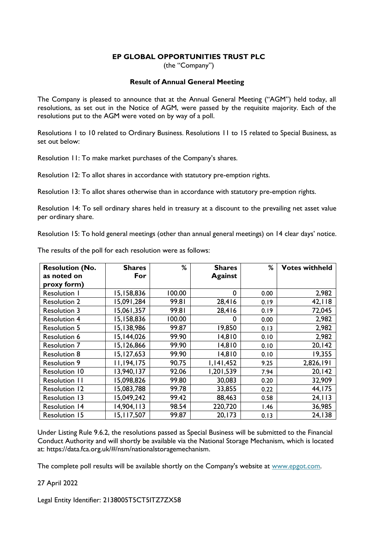## **EP GLOBAL OPPORTUNITIES TRUST PLC**

(the "Company")

## **Result of Annual General Meeting**

The Company is pleased to announce that at the Annual General Meeting ("AGM") held today, all resolutions, as set out in the Notice of AGM, were passed by the requisite majority. Each of the resolutions put to the AGM were voted on by way of a poll.

Resolutions 1 to 10 related to Ordinary Business. Resolutions 11 to 15 related to Special Business, as set out below:

Resolution 11: To make market purchases of the Company's shares.

Resolution 12: To allot shares in accordance with statutory pre-emption rights.

Resolution 13: To allot shares otherwise than in accordance with statutory pre-emption rights.

Resolution 14: To sell ordinary shares held in treasury at a discount to the prevailing net asset value per ordinary share.

Resolution 15: To hold general meetings (other than annual general meetings) on 14 clear days' notice.

| <b>Resolution (No.</b> | <b>Shares</b> | %      | <b>Shares</b>  | %    | <b>Votes withheld</b> |
|------------------------|---------------|--------|----------------|------|-----------------------|
| as noted on            | For           |        | <b>Against</b> |      |                       |
| proxy form)            |               |        |                |      |                       |
| Resolution I           | 15,158,836    | 100.00 | 0              | 0.00 | 2,982                 |
| <b>Resolution 2</b>    | 15,091,284    | 99.81  | 28,416         | 0.19 | 42,118                |
| <b>Resolution 3</b>    | 15,061,357    | 99.81  | 28,416         | 0.19 | 72,045                |
| <b>Resolution 4</b>    | 15,158,836    | 100.00 | 0              | 0.00 | 2,982                 |
| <b>Resolution 5</b>    | 15,138,986    | 99.87  | 19,850         | 0.13 | 2,982                 |
| <b>Resolution 6</b>    | 15,144,026    | 99.90  | 14,810         | 0.10 | 2,982                 |
| <b>Resolution 7</b>    | 15,126,866    | 99.90  | 14,810         | 0.10 | 20,142                |
| <b>Resolution 8</b>    | 15,127,653    | 99.90  | 14,810         | 0.10 | 19,355                |
| <b>Resolution 9</b>    | 11,194,175    | 90.75  | 1,141,452      | 9.25 | 2,826,191             |
| <b>Resolution 10</b>   | 13,940,137    | 92.06  | 1,201,539      | 7.94 | 20,142                |
| Resolution 11          | 15,098,826    | 99.80  | 30,083         | 0.20 | 32,909                |
| <b>Resolution 12</b>   | 15,083,788    | 99.78  | 33,855         | 0.22 | 44,175                |
| Resolution 13          | 15,049,242    | 99.42  | 88,463         | 0.58 | 24, 113               |
| <b>Resolution 14</b>   | 14,904,113    | 98.54  | 220,720        | 1.46 | 36,985                |
| <b>Resolution 15</b>   | 15,117,507    | 99.87  | 20, 173        | 0.13 | 24,138                |

The results of the poll for each resolution were as follows:

Under Listing Rule 9.6.2, the resolutions passed as Special Business will be submitted to the Financial Conduct Authority and will shortly be available via the National Storage Mechanism, which is located at: [https://data.fca.org.uk/#/nsm/nationalstoragemechanism.](https://data.fca.org.uk/#/nsm/nationalstoragemechanism)

The complete poll results will be available shortly on the Company's website at [www.epgot.com.](http://www.epgot.com/)

27 April 2022

Legal Entity Identifier: 2138005T5CT5ITZ7ZX58